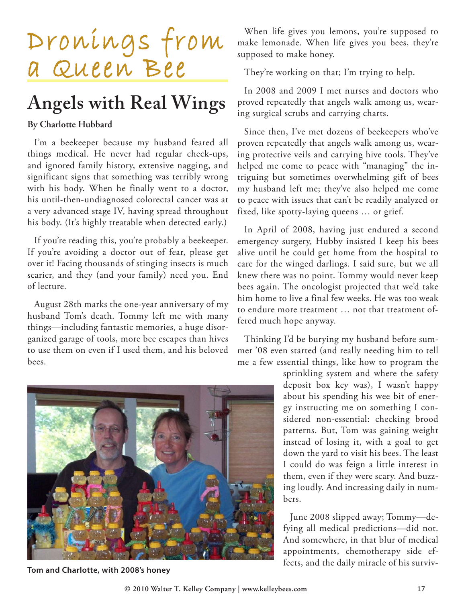

## **Angels with Real Wings**

## **By Charlotte Hubbard**

I'm a beekeeper because my husband feared all things medical. He never had regular check-ups, and ignored family history, extensive nagging, and significant signs that something was terribly wrong with his body. When he finally went to a doctor, his until-then-undiagnosed colorectal cancer was at a very advanced stage IV, having spread throughout his body. (It's highly treatable when detected early.)

If you're reading this, you're probably a beekeeper. If you're avoiding a doctor out of fear, please get over it! Facing thousands of stinging insects is much scarier, and they (and your family) need you. End of lecture.

August 28th marks the one-year anniversary of my husband Tom's death. Tommy left me with many things—including fantastic memories, a huge disorganized garage of tools, more bee escapes than hives to use them on even if I used them, and his beloved bees.

When life gives you lemons, you're supposed to make lemonade. When life gives you bees, they're supposed to make honey.

They're working on that; I'm trying to help.

In 2008 and 2009 I met nurses and doctors who proved repeatedly that angels walk among us, wearing surgical scrubs and carrying charts.

Since then, I've met dozens of beekeepers who've proven repeatedly that angels walk among us, wearing protective veils and carrying hive tools. They've helped me come to peace with "managing" the intriguing but sometimes overwhelming gift of bees my husband left me; they've also helped me come to peace with issues that can't be readily analyzed or fixed, like spotty-laying queens … or grief.

In April of 2008, having just endured a second emergency surgery, Hubby insisted I keep his bees alive until he could get home from the hospital to care for the winged darlings. I said sure, but we all knew there was no point. Tommy would never keep bees again. The oncologist projected that we'd take him home to live a final few weeks. He was too weak to endure more treatment … not that treatment offered much hope anyway.

Thinking I'd be burying my husband before summer '08 even started (and really needing him to tell me a few essential things, like how to program the

> sprinkling system and where the safety deposit box key was), I wasn't happy about his spending his wee bit of energy instructing me on something I considered non-essential: checking brood patterns. But, Tom was gaining weight instead of losing it, with a goal to get down the yard to visit his bees. The least I could do was feign a little interest in them, even if they were scary. And buzzing loudly. And increasing daily in numbers.

> June 2008 slipped away; Tommy—defying all medical predictions—did not. And somewhere, in that blur of medical appointments, chemotherapy side ef-



**© 2010 Walter T. Kelley Company | www.kelleybees.com** 17